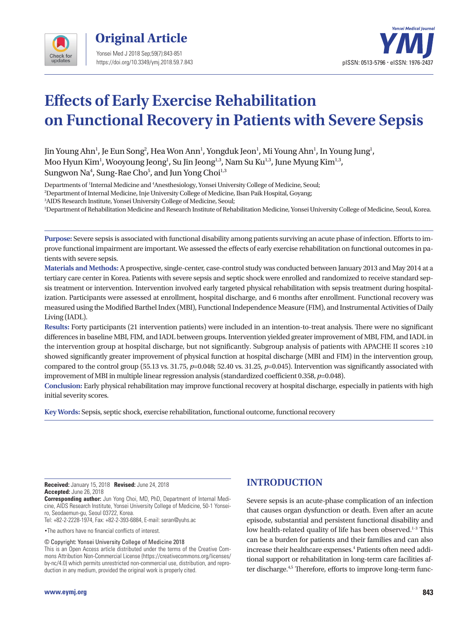

**Original Article**  Yonsei Med J 2018 Sep;59(7):843-851 https://doi.org/10.3349/ymj.2018.59.7.843



# **Effects of Early Exercise Rehabilitation on Functional Recovery in Patients with Severe Sepsis**

Jin Young Ahn<sup>1</sup>, Je Eun Song<sup>2</sup>, Hea Won Ann<sup>1</sup>, Yongduk Jeon<sup>1</sup>, Mi Young Ahn<sup>1</sup>, In Young Jung<sup>1</sup>, Moo Hyun Kim $^{\rm l}$ , Wooyoung Jeong $^{\rm l}$ , Su Jin Jeong $^{\rm l,3}$ , Nam Su Ku $^{\rm l,3}$ , June Myung Kim $^{\rm l,3}$ , Sungwon Na $^{\rm 4}$ , Sung-Rae Cho $^{\rm 5}$ , and Jun Yong Choi $^{\rm 1,3}$ 

Departments of 1 Internal Medicine and 4 Anesthesiology, Yonsei University College of Medicine, Seoul;

2 Department of Internal Medicine, Inje University College of Medicine, Ilsan Paik Hospital, Goyang;

3 AIDS Research Institute, Yonsei University College of Medicine, Seoul;

5 Department of Rehabilitation Medicine and Research Institute of Rehabilitation Medicine, Yonsei University College of Medicine, Seoul, Korea.

**Purpose:** Severe sepsis is associated with functional disability among patients surviving an acute phase of infection. Efforts to improve functional impairment are important. We assessed the effects of early exercise rehabilitation on functional outcomes in patients with severe sepsis.

**Materials and Methods:** A prospective, single-center, case-control study was conducted between January 2013 and May 2014 at a tertiary care center in Korea. Patients with severe sepsis and septic shock were enrolled and randomized to receive standard sepsis treatment or intervention. Intervention involved early targeted physical rehabilitation with sepsis treatment during hospitalization. Participants were assessed at enrollment, hospital discharge, and 6 months after enrollment. Functional recovery was measured using the Modified Barthel Index (MBI), Functional Independence Measure (FIM), and Instrumental Activities of Daily Living (IADL).

**Results:** Forty participants (21 intervention patients) were included in an intention-to-treat analysis. There were no significant differences in baseline MBI, FIM, and IADL between groups. Intervention yielded greater improvement of MBI, FIM, and IADL in the intervention group at hospital discharge, but not significantly. Subgroup analysis of patients with APACHE II scores ≥10 showed significantly greater improvement of physical function at hospital discharge (MBI and FIM) in the intervention group, compared to the control group (55.13 vs. 31.75, *p*=0.048; 52.40 vs. 31.25, *p*=0.045). Intervention was significantly associated with improvement of MBI in multiple linear regression analysis (standardized coefficient 0.358, *p*=0.048).

**Conclusion:** Early physical rehabilitation may improve functional recovery at hospital discharge, especially in patients with high initial severity scores.

**Key Words:** Sepsis, septic shock, exercise rehabilitation, functional outcome, functional recovery

**Received:** January 15, 2018 **Revised:** June 24, 2018 **Accepted:** June 26, 2018

**Corresponding author:** Jun Yong Choi, MD, PhD, Department of Internal Medicine, AIDS Research Institute, Yonsei University College of Medicine, 50-1 Yonseiro, Seodaemun-gu, Seoul 03722, Korea.

Tel: +82-2-2228-1974, Fax: +82-2-393-6884, E-mail: seran@yuhs.ac

•The authors have no financial conflicts of interest.

© Copyright: Yonsei University College of Medicine 2018

This is an Open Access article distributed under the terms of the Creative Commons Attribution Non-Commercial License (https://creativecommons.org/licenses/ by-nc/4.0) which permits unrestricted non-commercial use, distribution, and reproduction in any medium, provided the original work is properly cited.

## **INTRODUCTION**

Severe sepsis is an acute-phase complication of an infection that causes organ dysfunction or death. Even after an acute episode, substantial and persistent functional disability and low health-related quality of life has been observed.<sup>1-3</sup> This can be a burden for patients and their families and can also increase their healthcare expenses.<sup>4</sup> Patients often need additional support or rehabilitation in long-term care facilities after discharge.<sup>4,5</sup> Therefore, efforts to improve long-term func-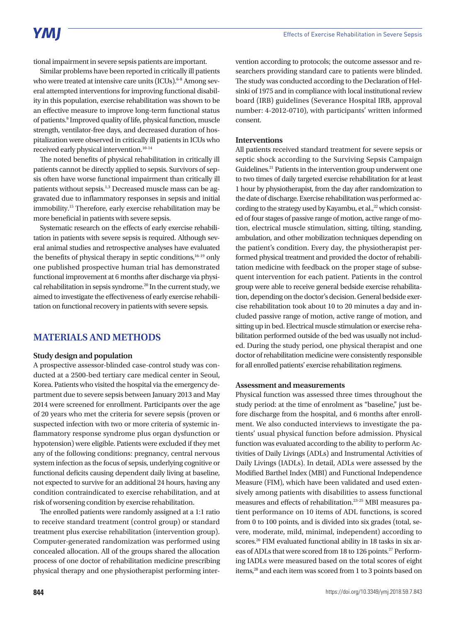# **YMI**

tional impairment in severe sepsis patients are important.

Similar problems have been reported in critically ill patients who were treated at intensive care units (ICUs).<sup>6-8</sup> Among several attempted interventions for improving functional disability in this population, exercise rehabilitation was shown to be an effective measure to improve long-term functional status of patients.<sup>9</sup> Improved quality of life, physical function, muscle strength, ventilator-free days, and decreased duration of hospitalization were observed in critically ill patients in ICUs who received early physical intervention.<sup>10-14</sup>

The noted benefits of physical rehabilitation in critically ill patients cannot be directly applied to sepsis. Survivors of sepsis often have worse functional impairment than critically ill patients without sepsis.<sup>1,3</sup> Decreased muscle mass can be aggravated due to inflammatory responses in sepsis and initial immobility.15 Therefore, early exercise rehabilitation may be more beneficial in patients with severe sepsis.

Systematic research on the effects of early exercise rehabilitation in patients with severe sepsis is required. Although several animal studies and retrospective analyses have evaluated the benefits of physical therapy in septic conditions, $16-19$  only one published prospective human trial has demonstrated functional improvement at 6 months after discharge via physical rehabilitation in sepsis syndrome.<sup>20</sup> In the current study, we aimed to investigate the effectiveness of early exercise rehabilitation on functional recovery in patients with severe sepsis.

# **MATERIALS AND METHODS**

#### **Study design and population**

A prospective assessor-blinded case-control study was conducted at a 2500-bed tertiary care medical center in Seoul, Korea. Patients who visited the hospital via the emergency department due to severe sepsis between January 2013 and May 2014 were screened for enrollment. Participants over the age of 20 years who met the criteria for severe sepsis (proven or suspected infection with two or more criteria of systemic inflammatory response syndrome plus organ dysfunction or hypotension) were eligible. Patients were excluded if they met any of the following conditions: pregnancy, central nervous system infection as the focus of sepsis, underlying cognitive or functional deficits causing dependent daily living at baseline, not expected to survive for an additional 24 hours, having any condition contraindicated to exercise rehabilitation, and at risk of worsening condition by exercise rehabilitation.

The enrolled patients were randomly assigned at a 1:1 ratio to receive standard treatment (control group) or standard treatment plus exercise rehabilitation (intervention group). Computer-generated randomization was performed using concealed allocation. All of the groups shared the allocation process of one doctor of rehabilitation medicine prescribing physical therapy and one physiotherapist performing inter-

vention according to protocols; the outcome assessor and researchers providing standard care to patients were blinded. The study was conducted according to the Declaration of Helsinki of 1975 and in compliance with local institutional review board (IRB) guidelines (Severance Hospital IRB, approval number: 4-2012-0710), with participants' written informed consent.

### **Interventions**

All patients received standard treatment for severe sepsis or septic shock according to the Surviving Sepsis Campaign Guidelines.<sup>21</sup> Patients in the intervention group underwent one to two times of daily targeted exercise rehabilitation for at least 1 hour by physiotherapist, from the day after randomization to the date of discharge. Exercise rehabilitation was performed according to the strategy used by Kayambu, et al., $^{22}$  which consisted of four stages of passive range of motion, active range of motion, electrical muscle stimulation, sitting, tilting, standing, ambulation, and other mobilization techniques depending on the patient's condition. Every day, the physiotherapist performed physical treatment and provided the doctor of rehabilitation medicine with feedback on the proper stage of subsequent intervention for each patient. Patients in the control group were able to receive general bedside exercise rehabilitation, depending on the doctor's decision. General bedside exercise rehabilitation took about 10 to 20 minutes a day and included passive range of motion, active range of motion, and sitting up in bed. Electrical muscle stimulation or exercise rehabilitation performed outside of the bed was usually not included. During the study period, one physical therapist and one doctor of rehabilitation medicine were consistently responsible for all enrolled patients' exercise rehabilitation regimens.

#### **Assessment and measurements**

Physical function was assessed three times throughout the study period: at the time of enrolment as "baseline," just before discharge from the hospital, and 6 months after enrollment. We also conducted interviews to investigate the patients' usual physical function before admission. Physical function was evaluated according to the ability to perform Activities of Daily Livings (ADLs) and Instrumental Activities of Daily Livings (IADLs). In detail, ADLs were assessed by the Modified Barthel Index (MBI) and Functional Independence Measure (FIM), which have been validated and used extensively among patients with disabilities to assess functional measures and effects of rehabilitation.23-25 MBI measures patient performance on 10 items of ADL functions, is scored from 0 to 100 points, and is divided into six grades (total, severe, moderate, mild, minimal, independent) according to scores.<sup>26</sup> FIM evaluated functional ability in 18 tasks in six areas of ADLs that were scored from 18 to 126 points.<sup>27</sup> Performing IADLs were measured based on the total scores of eight items,<sup>28</sup> and each item was scored from 1 to 3 points based on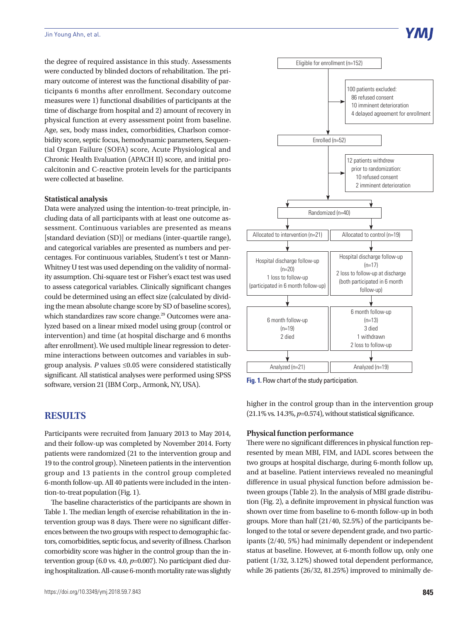the degree of required assistance in this study. Assessments were conducted by blinded doctors of rehabilitation. The primary outcome of interest was the functional disability of participants 6 months after enrollment. Secondary outcome measures were 1) functional disabilities of participants at the time of discharge from hospital and 2) amount of recovery in physical function at every assessment point from baseline. Age, sex, body mass index, comorbidities, Charlson comorbidity score, septic focus, hemodynamic parameters, Sequential Organ Failure (SOFA) score, Acute Physiological and Chronic Health Evaluation (APACH II) score, and initial procalcitonin and C-reactive protein levels for the participants were collected at baseline.

#### **Statistical analysis**

Data were analyzed using the intention-to-treat principle, including data of all participants with at least one outcome assessment. Continuous variables are presented as means [standard deviation (SD)] or medians (inter-quartile range), and categorical variables are presented as numbers and percentages. For continuous variables, Student's t test or Mann-Whitney U test was used depending on the validity of normality assumption. Chi-square test or Fisher's exact test was used to assess categorical variables. Clinically significant changes could be determined using an effect size (calculated by dividing the mean absolute change score by SD of baseline scores), which standardizes raw score change.<sup>29</sup> Outcomes were analyzed based on a linear mixed model using group (control or intervention) and time (at hospital discharge and 6 months after enrollment). We used multiple linear regression to determine interactions between outcomes and variables in subgroup analysis. *P* values ≤0.05 were considered statistically significant. All statistical analyses were performed using SPSS software, version 21 (IBM Corp., Armonk, NY, USA).

### **RESULTS**

Participants were recruited from January 2013 to May 2014, and their follow-up was completed by November 2014. Forty patients were randomized (21 to the intervention group and 19 to the control group). Nineteen patients in the intervention group and 13 patients in the control group completed 6-month follow-up. All 40 patients were included in the intention-to-treat population (Fig. 1).

The baseline characteristics of the participants are shown in Table 1. The median length of exercise rehabilitation in the intervention group was 8 days. There were no significant differences between the two groups with respect to demographic factors, comorbidities, septic focus, and severity of illness. Charlson comorbidity score was higher in the control group than the intervention group (6.0 vs. 4.0, *p*=0.007). No participant died during hospitalization. All-cause 6-month mortality rate was slightly



**Y МІ** 

**Fig. 1.** Flow chart of the study participation.

higher in the control group than in the intervention group (21.1% vs. 14.3%, *p*=0.574), without statistical significance.

#### **Physical function performance**

There were no significant differences in physical function represented by mean MBI, FIM, and IADL scores between the two groups at hospital discharge, during 6-month follow up, and at baseline. Patient interviews revealed no meaningful difference in usual physical function before admission between groups (Table 2). In the analysis of MBI grade distribution (Fig. 2), a definite improvement in physical function was shown over time from baseline to 6-month follow-up in both groups. More than half (21/40, 52.5%) of the participants belonged to the total or severe dependent grade, and two participants (2/40, 5%) had minimally dependent or independent status at baseline. However, at 6-month follow up, only one patient (1/32, 3.12%) showed total dependent performance, while 26 patients (26/32, 81.25%) improved to minimally de-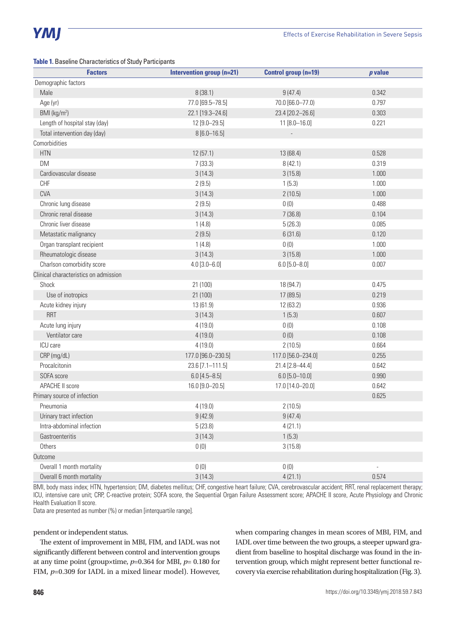#### **Table 1.** Baseline Characteristics of Study Participants

| <b>Factors</b>                        | Intervention group (n=21) | Control group (n=19) | $p$ value      |
|---------------------------------------|---------------------------|----------------------|----------------|
| Demographic factors                   |                           |                      |                |
| Male                                  | 8(38.1)                   | 9(47.4)              | 0.342          |
| Age (yr)                              | 77.0 [69.5-78.5]          | 70.0 [66.0-77.0)     | 0.797          |
| BMI ( $\text{kg/m}^2$ )               | 22.1 [19.3-24.6]          | 23.4 [20.2-26.6]     | 0.303          |
| Length of hospital stay (day)         | 12 [9.0-29.5]             | $11[8.0 - 16.0]$     | 0.221          |
| Total intervention day (day)          | $8[6.0 - 16.5]$           |                      |                |
| Comorbidities                         |                           |                      |                |
| <b>HTN</b>                            | 12(57.1)                  | 13 (68.4)            | 0.528          |
| DM                                    | 7(33.3)                   | 8(42.1)              | 0.319          |
| Cardiovascular disease                | 3(14.3)                   | 3(15.8)              | 1.000          |
| <b>CHF</b>                            | 2(9.5)                    | 1(5.3)               | 1.000          |
| <b>CVA</b>                            | 3(14.3)                   | 2(10.5)              | 1.000          |
| Chronic lung disease                  | 2(9.5)                    | 0(0)                 | 0.488          |
| Chronic renal disease                 | 3(14.3)                   | 7(36.8)              | 0.104          |
| Chronic liver disease                 | 1(4.8)                    | 5(26.3)              | 0.085          |
| Metastatic malignancy                 | 2(9.5)                    | 6(31.6)              | 0.120          |
| Organ transplant recipient            | 1(4.8)                    | 0(0)                 | 1.000          |
| Rheumatologic disease                 | 3(14.3)                   | 3(15.8)              | 1.000          |
| Charlson comorbidity score            | $4.0$ [3.0-6.0]           | $6.0$ [5.0-8.0]      | 0.007          |
| Clinical characteristics on admission |                           |                      |                |
| Shock                                 | 21 (100)                  | 18 (94.7)            | 0.475          |
| Use of inotropics                     | 21 (100)                  | 17 (89.5)            | 0.219          |
| Acute kidney injury                   | 13 (61.9)                 | 12 (63.2)            | 0.936          |
| <b>RRT</b>                            | 3(14.3)                   | 1(5.3)               | 0.607          |
| Acute lung injury                     | 4(19.0)                   | 0(0)                 | 0.108          |
| Ventilator care                       | 4(19.0)                   | 0(0)                 | 0.108          |
| ICU care                              | 4(19.0)                   | 2(10.5)              | 0.664          |
| CRP (mg/dL)                           | 177.0 [96.0-230.5]        | 117.0 [56.0-234.0]   | 0.255          |
| Procalcitonin                         | 23.6 [7.1-111.5]          | 21.4 [2.8-44.4]      | 0.642          |
| SOFA score                            | $6.0 [4.5 - 8.5]$         | $6.0$ [5.0-10.0]     | 0.990          |
| APACHE II score                       | 16.0 [9.0-20.5]           | 17.0 [14.0-20.0]     | 0.642          |
| Primary source of infection           |                           |                      | 0.625          |
| Pneumonia                             | 4(19.0)                   | 2(10.5)              |                |
| Urinary tract infection               | 9(42.9)                   | 9(47.4)              |                |
| Intra-abdominal infection             | 5(23.8)                   | 4(21.1)              |                |
| Gastroenteritis                       | 3(14.3)                   | 1(5.3)               |                |
| Others                                | 0(0)                      | 3(15.8)              |                |
| Outcome                               |                           |                      |                |
| Overall 1 month mortality             | 0(0)                      | 0(0)                 | $\blacksquare$ |
| Overall 6 month mortality             | 3(14.3)                   | 4(21.1)              | 0.574          |

BMI, body mass index; HTN, hypertension; DM, diabetes mellitus; CHF, congestive heart failure; CVA, cerebrovascular accident; RRT, renal replacement therapy; ICU, intensive care unit; CRP, C-reactive protein; SOFA score, the Sequential Organ Failure Assessment score; APACHE II score, Acute Physiology and Chronic Health Evaluation II score.

Data are presented as number (%) or median [interquartile range].

pendent or independent status.

The extent of improvement in MBI, FIM, and IADL was not significantly different between control and intervention groups at any time point (group×time, *p*=0.364 for MBI, *p*= 0.180 for FIM, *p*=0.309 for IADL in a mixed linear model). However, when comparing changes in mean scores of MBI, FIM, and IADL over time between the two groups, a steeper upward gradient from baseline to hospital discharge was found in the intervention group, which might represent better functional recovery via exercise rehabilitation during hospitalization (Fig. 3).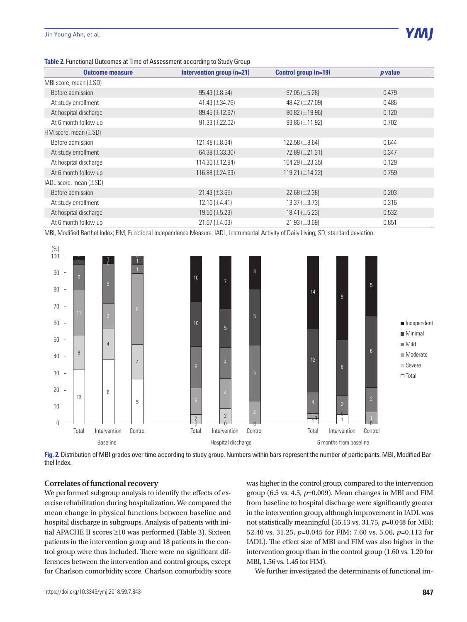| <b>Outcome measure</b>      | Intervention group (n=21) | Control group (n=19)   | <i>p</i> value |
|-----------------------------|---------------------------|------------------------|----------------|
| MBI score, mean $(\pm SD)$  |                           |                        |                |
| Before admission            | $95.43 (\pm 8.54)$        | $97.05 (\pm 5.28)$     | 0.479          |
| At study enrollment         | $41.43 (\pm 34.76)$       | 48.42 (±27.09)         | 0.486          |
| At hospital discharge       | 89.45 (±12.67)            | $80.82 \ (\pm 19.96)$  | 0.120          |
| At 6 month follow-up        | $91.33 (\pm 22.02)$       | $93.86 (\pm 11.92)$    | 0.702          |
| FIM score, mean $(\pm SD)$  |                           |                        |                |
| Before admission            | $121.48 (\pm 8.64)$       | $122.58 (\pm 8.64)$    | 0.644          |
| At study enrollment         | 64.38 $(\pm 33.30)$       | 72.89 (±21.31)         | 0.347          |
| At hospital discharge       | 114.30 $(\pm 12.94)$      | $104.29 \ (\pm 23.35)$ | 0.129          |
| At 6 month follow-up        | 116.88 (±24.93)           | 119.21 $(\pm 14.22)$   | 0.759          |
| IADL score, mean $(\pm SD)$ |                           |                        |                |
| Before admission            | $21.43 \ (\pm 3.65)$      | 22.68 $(\pm 2.38)$     | 0.203          |
| At study enrollment         | $12.10 (\pm 4.41)$        | $13.37 (\pm 3.73)$     | 0.316          |
| At hospital discharge       | $19.50 (\pm 5.23)$        | 18.41 $(\pm 5.23)$     | 0.532          |
| At 6 month follow-up        | $21.67 (\pm 4.03)$        | $21.93 \ (\pm 3.69)$   | 0.851          |

**Table 2.** Functional Outcomes at Time of Assessment according to Study Group

MBI, Modified Barthel Index; FIM, Functional Independence Measure; IADL, Instrumental Activity of Daily Living; SD, standard deviation.



**Fig. 2.** Distribution of MBI grades over time according to study group. Numbers within bars represent the number of participants. MBI, Modified Barthel Index.

#### **Correlates of functional recovery**

We performed subgroup analysis to identify the effects of exercise rehabilitation during hospitalization. We compared the mean change in physical functions between baseline and hospital discharge in subgroups. Analysis of patients with initial APACHE II scores ≥10 was performed (Table 3). Sixteen patients in the intervention group and 18 patients in the control group were thus included. There were no significant differences between the intervention and control groups, except for Charlson comorbidity score. Charlson comorbidity score was higher in the control group, compared to the intervention group (6.5 vs. 4.5, *p*=0.009). Mean changes in MBI and FIM from baseline to hospital discharge were significantly greater in the intervention group, although improvement in IADL was not statistically meaningful (55.13 vs. 31.75, *p*=0.048 for MBI; 52.40 vs. 31.25, *p*=0.045 for FIM; 7.60 vs. 5.06, *p*=0.112 for IADL). The effect size of MBI and FIM was also higher in the intervention group than in the control group (1.60 vs. 1.20 for MBI, 1.56 vs. 1.45 for FIM).

We further investigated the determinants of functional im-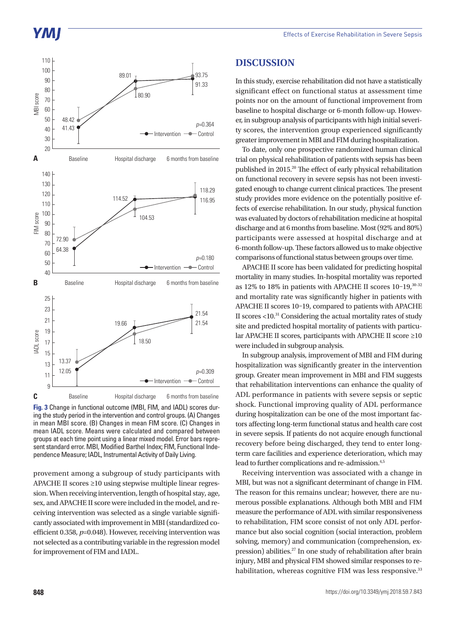# YMI



**Fig. 3** Change in functional outcome (MBI, FIM, and IADL) scores during the study period in the intervention and control groups. (A) Changes in mean MBI score. (B) Changes in mean FIM score. (C) Changes in mean IADL score. Means were calculated and compared between groups at each time point using a linear mixed model. Error bars represent standard error. MBI, Modified Barthel Index; FIM, Functional Independence Measure; IADL, Instrumental Activity of Daily Living.

provement among a subgroup of study participants with APACHE II scores ≥10 using stepwise multiple linear regression. When receiving intervention, length of hospital stay, age, sex, and APACHE II score were included in the model, and receiving intervention was selected as a single variable significantly associated with improvement in MBI (standardized coefficient 0.358, *p*=0.048). However, receiving intervention was not selected as a contributing variable in the regression model for improvement of FIM and IADL.

## **DISCUSSION**

In this study, exercise rehabilitation did not have a statistically significant effect on functional status at assessment time points nor on the amount of functional improvement from baseline to hospital discharge or 6-month follow-up. However, in subgroup analysis of participants with high initial severity scores, the intervention group experienced significantly greater improvement in MBI and FIM during hospitalization.

To date, only one prospective randomized human clinical trial on physical rehabilitation of patients with sepsis has been published in 2015.20 The effect of early physical rehabilitation on functional recovery in severe sepsis has not been investigated enough to change current clinical practices. The present study provides more evidence on the potentially positive effects of exercise rehabilitation. In our study, physical function was evaluated by doctors of rehabilitation medicine at hospital discharge and at 6 months from baseline. Most (92% and 80%) participants were assessed at hospital discharge and at 6-month follow-up. These factors allowed us to make objective comparisons of functional status between groups over time.

APACHE II score has been validated for predicting hospital mortality in many studies. In-hospital mortality was reported as 12% to 18% in patients with APACHE II scores 10-19, 30-32 and mortality rate was significantly higher in patients with APACHE II scores 10–19, compared to patients with APACHE II scores <10.31 Considering the actual mortality rates of study site and predicted hospital mortality of patients with particular APACHE II scores, participants with APACHE II score ≥10 were included in subgroup analysis.

In subgroup analysis, improvement of MBI and FIM during hospitalization was significantly greater in the intervention group. Greater mean improvement in MBI and FIM suggests that rehabilitation interventions can enhance the quality of ADL performance in patients with severe sepsis or septic shock. Functional improving quality of ADL performance during hospitalization can be one of the most important factors affecting long-term functional status and health care cost in severe sepsis. If patients do not acquire enough functional recovery before being discharged, they tend to enter longterm care facilities and experience deterioration, which may lead to further complications and re-admission.<sup>4,5</sup>

Receiving intervention was associated with a change in MBI, but was not a significant determinant of change in FIM. The reason for this remains unclear; however, there are numerous possible explanations. Although both MBI and FIM measure the performance of ADL with similar responsiveness to rehabilitation, FIM score consist of not only ADL performance but also social cognition (social interaction, problem solving, memory) and communication (comprehension, expression) abilities.<sup>27</sup> In one study of rehabilitation after brain injury, MBI and physical FIM showed similar responses to rehabilitation, whereas cognitive FIM was less responsive.<sup>33</sup>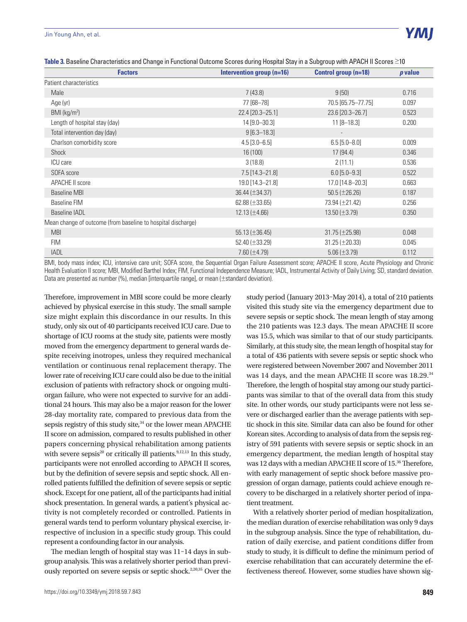#### Jin Young Ahn, et al.

| Table 3. Baseline Characteristics and Change in Functional Outcome Scores during Hospital Stay in a Subgroup with APACH II Scores ≥10 |  |
|---------------------------------------------------------------------------------------------------------------------------------------|--|
|                                                                                                                                       |  |

| <b>Factors</b>                                               | Intervention group $(n=16)$ | Control group (n=18) | <i>p</i> value |
|--------------------------------------------------------------|-----------------------------|----------------------|----------------|
| Patient characteristics                                      |                             |                      |                |
| Male                                                         | 7(43.8)                     | 9(50)                | 0.716          |
| Age (yr)                                                     | 77 [68-78]                  | 70.5 [65.75-77.75]   | 0.097          |
| $BMl$ (kg/m <sup>2</sup> )                                   | 22.4 [20.3-25.1]            | 23.6 [20.3-26.7]     | 0.523          |
| Length of hospital stay (day)                                | 14 [9.0-30.3]               | $11$ [8-18.3]        | 0.200          |
| Total intervention day (day)                                 | $9[6.3 - 18.3]$             |                      |                |
| Charlson comorbidity score                                   | $4.5$ [3.0-6.5]             | $6.5$ [5.0-8.0]      | 0.009          |
| Shock                                                        | 16 (100)                    | 17 (94.4)            | 0.346          |
| <b>ICU</b> care                                              | 3(18.8)                     | 2(11.1)              | 0.536          |
| SOFA score                                                   | 7.5 [14.3-21.8]             | $6.0$ [5.0-9.3]      | 0.522          |
| APACHE II score                                              | 19.0 [14.3-21.8]            | 17.0 [14.8-20.3]     | 0.663          |
| <b>Baseline MBI</b>                                          | 36.44 (±34.37)              | 50.5 ( $\pm$ 26.26)  | 0.187          |
| <b>Baseline FIM</b>                                          | 62.88 $(\pm 33.65)$         | 73.94 (±21.42)       | 0.256          |
| <b>Baseline IADL</b>                                         | $12.13 \, (\pm 4.66)$       | $13.50 (\pm 3.79)$   | 0.350          |
| Mean change of outcome (from baseline to hospital discharge) |                             |                      |                |
| <b>MBI</b>                                                   | 55.13 $(\pm 36.45)$         | $31.75 (\pm 25.98)$  | 0.048          |
| FIM                                                          | 52.40 $(\pm 33.29)$         | $31.25 (\pm 20.33)$  | 0.045          |
| <b>IADL</b>                                                  | $7.60 (\pm 4.79)$           | $5.06 (\pm 3.79)$    | 0.112          |

BMI, body mass index; ICU, intensive care unit; SOFA score, the Sequential Organ Failure Assessment score; APACHE II score, Acute Physiology and Chronic Health Evaluation II score; MBI, Modified Barthel Index; FIM, Functional Independence Measure; IADL, Instrumental Activity of Daily Living; SD, standard deviation. Data are presented as number (%), median [interquartile range], or mean (±standard deviation).

Therefore, improvement in MBI score could be more clearly achieved by physical exercise in this study. The small sample size might explain this discordance in our results. In this study, only six out of 40 participants received ICU care. Due to shortage of ICU rooms at the study site, patients were mostly moved from the emergency department to general wards despite receiving inotropes, unless they required mechanical ventilation or continuous renal replacement therapy. The lower rate of receiving ICU care could also be due to the initial exclusion of patients with refractory shock or ongoing multiorgan failure, who were not expected to survive for an additional 24 hours. This may also be a major reason for the lower 28-day mortality rate, compared to previous data from the sepsis registry of this study site, $34$  or the lower mean APACHE II score on admission, compared to results published in other papers concerning physical rehabilitation among patients with severe sepsis<sup>20</sup> or critically ill patients.<sup>9,12,13</sup> In this study, participants were not enrolled according to APACH II scores, but by the definition of severe sepsis and septic shock. All enrolled patients fulfilled the definition of severe sepsis or septic shock. Except for one patient, all of the participants had initial shock presentation. In general wards, a patient's physical activity is not completely recorded or controlled. Patients in general wards tend to perform voluntary physical exercise, irrespective of inclusion in a specific study group. This could represent a confounding factor in our analysis.

The median length of hospital stay was 11–14 days in subgroup analysis. This was a relatively shorter period than previously reported on severe sepsis or septic shock. $2,20,35$  Over the study period (January 2013–May 2014), a total of 210 patients visited this study site via the emergency department due to severe sepsis or septic shock. The mean length of stay among the 210 patients was 12.3 days. The mean APACHE II score was 15.5, which was similar to that of our study participants. Similarly, at this study site, the mean length of hospital stay for a total of 436 patients with severe sepsis or septic shock who were registered between November 2007 and November 2011 was 14 days, and the mean APACHE II score was 18.29.<sup>34</sup> Therefore, the length of hospital stay among our study participants was similar to that of the overall data from this study site. In other words, our study participants were not less severe or discharged earlier than the average patients with septic shock in this site. Similar data can also be found for other Korean sites. According to analysis of data from the sepsis registry of 591 patients with severe sepsis or septic shock in an emergency department, the median length of hospital stay was 12 days with a median APACHE II score of 15.<sup>36</sup> Therefore, with early management of septic shock before massive progression of organ damage, patients could achieve enough recovery to be discharged in a relatively shorter period of inpatient treatment.

With a relatively shorter period of median hospitalization, the median duration of exercise rehabilitation was only 9 days in the subgroup analysis. Since the type of rehabilitation, duration of daily exercise, and patient conditions differ from study to study, it is difficult to define the minimum period of exercise rehabilitation that can accurately determine the effectiveness thereof. However, some studies have shown sig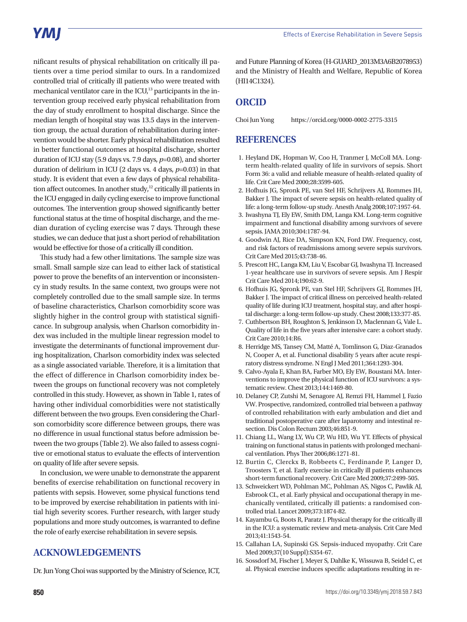nificant results of physical rehabilitation on critically ill patients over a time period similar to ours. In a randomized controlled trial of critically ill patients who were treated with mechanical ventilator care in the  $ICU<sub>1</sub><sup>13</sup>$  participants in the intervention group received early physical rehabilitation from the day of study enrollment to hospital discharge. Since the median length of hospital stay was 13.5 days in the intervention group, the actual duration of rehabilitation during intervention would be shorter. Early physical rehabilitation resulted in better functional outcomes at hospital discharge, shorter duration of ICU stay (5.9 days vs. 7.9 days, *p*=0.08), and shorter duration of delirium in ICU (2 days vs. 4 days, *p*=0.03) in that study. It is evident that even a few days of physical rehabilitation affect outcomes. In another study,<sup>12</sup> critically ill patients in the ICU engaged in daily cycling exercise to improve functional outcomes. The intervention group showed significantly better functional status at the time of hospital discharge, and the median duration of cycling exercise was 7 days. Through these studies, we can deduce that just a short period of rehabilitation would be effective for those of a critically ill condition.

This study had a few other limitations. The sample size was small. Small sample size can lead to either lack of statistical power to prove the benefits of an intervention or inconsistency in study results. In the same context, two groups were not completely controlled due to the small sample size. In terms of baseline characteristics, Charlson comorbidity score was slightly higher in the control group with statistical significance. In subgroup analysis, when Charlson comorbidity index was included in the multiple linear regression model to investigate the determinants of functional improvement during hospitalization, Charlson comorbidity index was selected as a single associated variable. Therefore, it is a limitation that the effect of difference in Charlson comorbidity index between the groups on functional recovery was not completely controlled in this study. However, as shown in Table 1, rates of having other individual comorbidities were not statistically different between the two groups. Even considering the Charlson comorbidity score difference between groups, there was no difference in usual functional status before admission between the two groups (Table 2). We also failed to assess cognitive or emotional status to evaluate the effects of intervention on quality of life after severe sepsis.

In conclusion, we were unable to demonstrate the apparent benefits of exercise rehabilitation on functional recovery in patients with sepsis. However, some physical functions tend to be improved by exercise rehabilitation in patients with initial high severity scores. Further research, with larger study populations and more study outcomes, is warranted to define the role of early exercise rehabilitation in severe sepsis.

## **ACKNOWLEDGEMENTS**

Dr. Jun Yong Choi was supported by the Ministry of Science, ICT,

and Future Planning of Korea (H-GUARD\_2013M3A6B2078953) and the Ministry of Health and Welfare, Republic of Korea (HI14C1324).

## **ORCID**

Choi Jun Yong https://orcid.org/0000-0002-2775-3315

### **REFERENCES**

- 1. Heyland DK, Hopman W, Coo H, Tranmer J, McColl MA. Longterm health-related quality of life in survivors of sepsis. Short Form 36: a valid and reliable measure of health-related quality of life. Crit Care Med 2000;28:3599-605.
- 2. Hofhuis JG, Spronk PE, van Stel HF, Schrijvers AJ, Rommes JH, Bakker J. The impact of severe sepsis on health-related quality of life: a long-term follow-up study. Anesth Analg 2008;107:1957-64.
- 3. Iwashyna TJ, Ely EW, Smith DM, Langa KM. Long-term cognitive impairment and functional disability among survivors of severe sepsis. JAMA 2010;304:1787-94.
- 4. Goodwin AJ, Rice DA, Simpson KN, Ford DW. Frequency, cost, and risk factors of readmissions among severe sepsis survivors. Crit Care Med 2015;43:738-46.
- 5. Prescott HC, Langa KM, Liu V, Escobar GJ, Iwashyna TJ. Increased 1-year healthcare use in survivors of severe sepsis. Am J Respir Crit Care Med 2014;190:62-9.
- 6. Hofhuis JG, Spronk PE, van Stel HF, Schrijvers GJ, Rommes JH, Bakker J. The impact of critical illness on perceived health-related quality of life during ICU treatment, hospital stay, and after hospital discharge: a long-term follow-up study. Chest 2008;133:377-85.
- 7. Cuthbertson BH, Roughton S, Jenkinson D, Maclennan G, Vale L. Quality of life in the five years after intensive care: a cohort study. Crit Care 2010;14:R6.
- 8. Herridge MS, Tansey CM, Matté A, Tomlinson G, Diaz-Granados N, Cooper A, et al. Functional disability 5 years after acute respiratory distress syndrome. N Engl J Med 2011;364:1293-304.
- 9. Calvo-Ayala E, Khan BA, Farber MO, Ely EW, Boustani MA. Interventions to improve the physical function of ICU survivors: a systematic review. Chest 2013;144:1469-80.
- 10. Delaney CP, Zutshi M, Senagore AJ, Remzi FH, Hammel J, Fazio VW. Prospective, randomized, controlled trial between a pathway of controlled rehabilitation with early ambulation and diet and traditional postoperative care after laparotomy and intestinal resection. Dis Colon Rectum 2003;46:851-9.
- 11. Chiang LL, Wang LY, Wu CP, Wu HD, Wu YT. Effects of physical training on functional status in patients with prolonged mechanical ventilation. Phys Ther 2006;86:1271-81.
- 12. Burtin C, Clerckx B, Robbeets C, Ferdinande P, Langer D, Troosters T, et al. Early exercise in critically ill patients enhances short-term functional recovery. Crit Care Med 2009;37:2499-505.
- 13. Schweickert WD, Pohlman MC, Pohlman AS, Nigos C, Pawlik AJ, Esbrook CL, et al. Early physical and occupational therapy in mechanically ventilated, critically ill patients: a randomised controlled trial. Lancet 2009;373:1874-82.
- 14. Kayambu G, Boots R, Paratz J. Physical therapy for the critically ill in the ICU: a systematic review and meta-analysis. Crit Care Med 2013;41:1543-54.
- 15. Callahan LA, Supinski GS. Sepsis-induced myopathy. Crit Care Med 2009;37(10 Suppl):S354-67.
- 16. Sossdorf M, Fischer J, Meyer S, Dahlke K, Wissuwa B, Seidel C, et al. Physical exercise induces specific adaptations resulting in re-